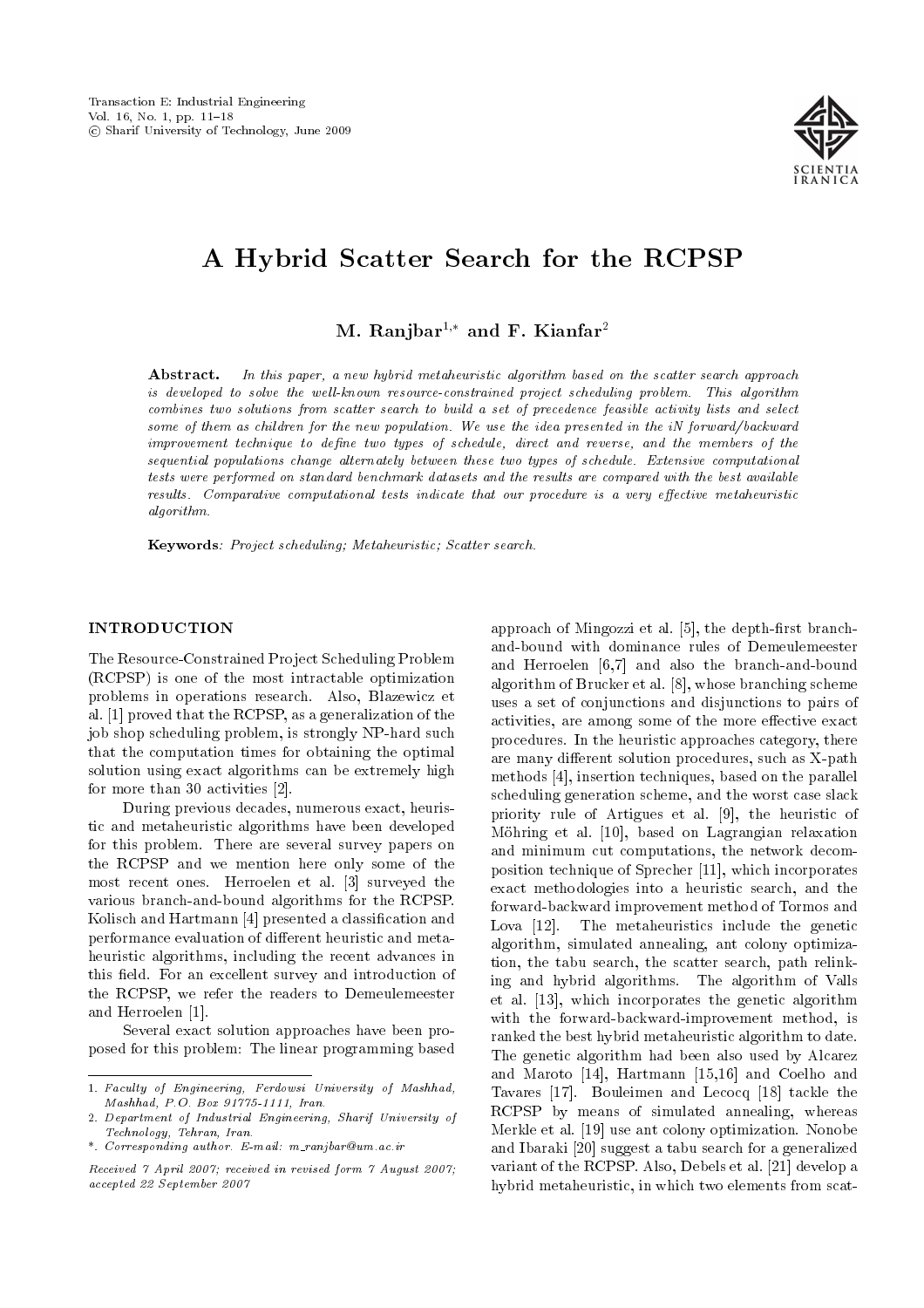

# A Hybrid Scatter Search for the RCPSP

M. Ranjbar<sup>1,\*</sup> and F. Kianfar<sup>2</sup>

Abstract. In this paper, a new hybrid metaheuristic algorithm based on the scatter search approach is developed to solve the well-known resource-constrained project scheduling problem. This algorithm combines two solutions from scatter search to build a set of precedence feasible activity lists and select some of them as children for the new population. We use the idea presented in the iN forward/backward improvement technique to define two types of schedule, direct and reverse, and the members of the sequential populations change alternately between these two types of schedule. Extensive computational tests were performed on standard benchmark datasets and the results are compared with the best available results. Comparative computational tests indicate that our procedure is a very effective metaheuristic algorithm.

Keywords: Project scheduling; Metaheuristic; Scatter search.

## INTRODUCTION

The Resource-Constrained Project Scheduling Problem (RCPSP) is one of the most intractable optimization problems in operations research. Also, Blazewicz et al. [1] proved that the RCPSP, as a generalization of the job shop scheduling problem, is strongly NP-hard such that the computation times for obtaining the optimal solution using exact algorithms can be extremely high for more than 30 activities [2].

During previous decades, numerous exact, heuristic and metaheuristic algorithms have been developed for this problem. There are several survey papers on the RCPSP and we mention here only some of the most recent ones. Herroelen et al. [3] surveyed the various branch-and-bound algorithms for the RCPSP. Kolisch and Hartmann [4] presented a classication and performance evaluation of different heuristic and metaheuristic algorithms, including the recent advances in this field. For an excellent survey and introduction of the RCPSP, we refer the readers to Demeulemeester and Herroelen [1].

Several exact solution approaches have been proposed for this problem: The linear programming based approach of Mingozzi et al. [5], the depth-first branchand-bound with dominance rules of Demeulemeester and Herroelen [6,7] and also the branch-and-bound algorithm of Brucker et al. [8], whose branching scheme uses a set of conjunctions and disjunctions to pairs of activities, are among some of the more effective exact procedures. In the heuristic approaches category, there are many different solution procedures, such as X-path methods [4], insertion techniques, based on the parallel scheduling generation scheme, and the worst case slack priority rule of Artigues et al. [9], the heuristic of Mohring et al. [10], based on Lagrangian relaxation and minimum cut computations, the network decomposition technique of Sprecher [11], which incorporates exact methodologies into a heuristic search, and the forward-backward improvement method of Tormos and Lova [12]. The metaheuristics include the genetic algorithm, simulated annealing, ant colony optimization, the tabu search, the scatter search, path relinking and hybrid algorithms. The algorithm of Valls et al. [13], which incorporates the genetic algorithm with the forward-backward-improvement method, is ranked the best hybrid metaheuristic algorithm to date. The genetic algorithm had been also used by Alcarez and Maroto [14], Hartmann [15,16] and Coelho and Tavares [17]. Bouleimen and Lecocq [18] tackle the RCPSP by means of simulated annealing, whereas Merkle et al. [19] use ant colony optimization. Nonobe and Ibaraki [20] suggest a tabu search for a generalized variant of the RCPSP. Also, Debels et al. [21] develop a hybrid metaheuristic, in which two elements from scat-

<sup>1.</sup> Faculty of Engineering, Ferdowsi University of Mashhad, Mashhad, P.O. Box 91775-1111, Iran.

<sup>2.</sup> Department of Industrial Engineering, Sharif University of Technology, Tehran, Iran.

<sup>\*.</sup> Corresponding author. E-mail: m ranjbar@um.ac.ir

Received 7 April 2007; received in revised form 7 August 2007; accepted 22 September 2007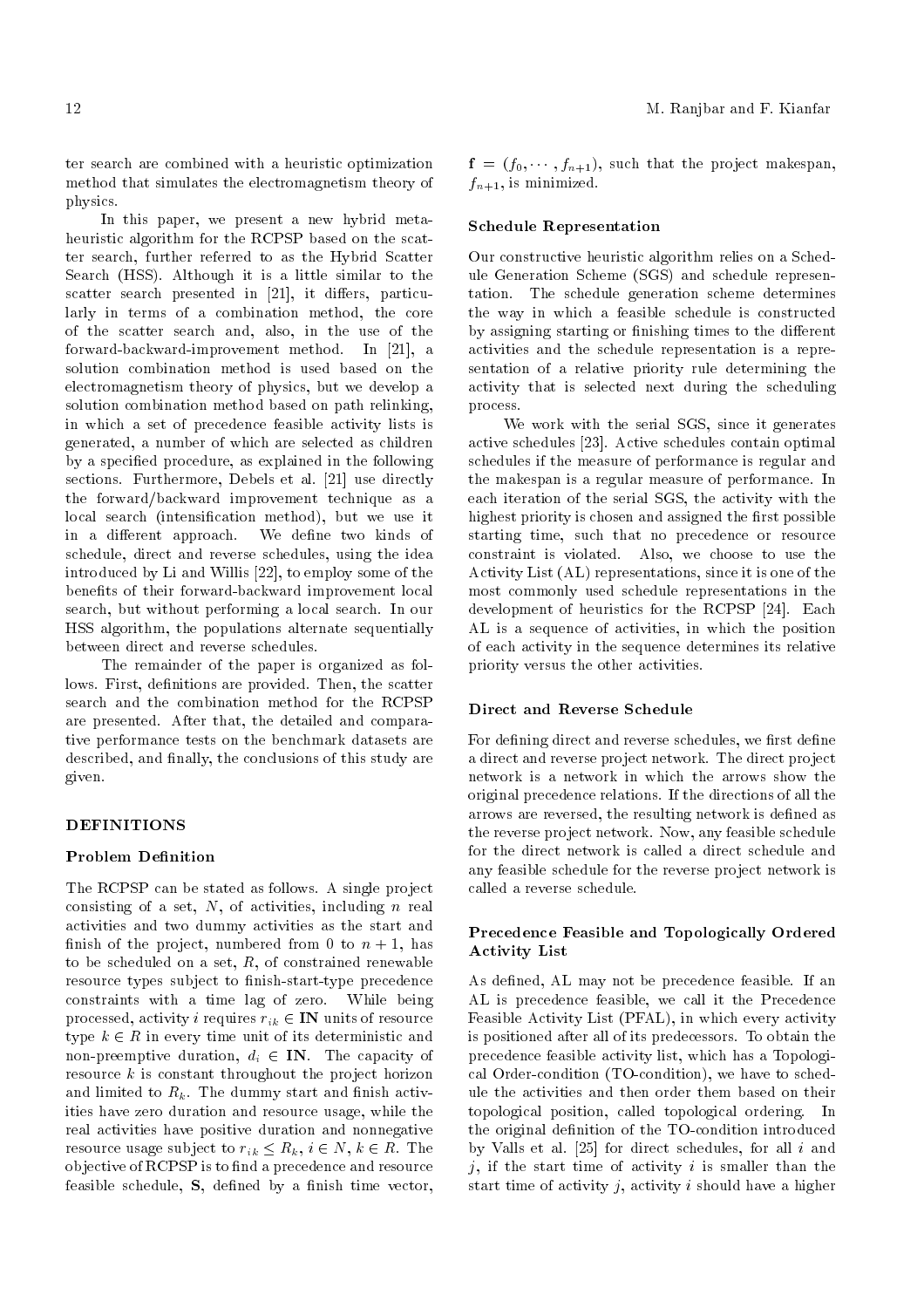ter search are combined with a heuristic optimization method that simulates the electromagnetism theory of physics.

In this paper, we present a new hybrid metaheuristic algorithm for the RCPSP based on the scatter search, further referred to as the Hybrid Scatter Search (HSS). Although it is a little similar to the scatter search presented in  $[21]$ , it differs, particularly in terms of a combination method, the core of the scatter search and, also, in the use of the forward-backward-improvement method. In [21], a solution combination method is used based on the electromagnetism theory of physics, but we develop a solution combination method based on path relinking, in which a set of precedence feasible activity lists is generated, a number of which are selected as children by a specied procedure, as explained in the following sections. Furthermore, Debels et al. [21] use directly the forward/backward improvement technique as a local search (intensification method), but we use it in a different approach. We define two kinds of schedule, direct and reverse schedules, using the idea introduced by Li and Willis [22], to employ some of the benefits of their forward-backward improvement local search, but without performing a local search. In our HSS algorithm, the populations alternate sequentially between direct and reverse schedules.

The remainder of the paper is organized as follows. First, definitions are provided. Then, the scatter search and the combination method for the RCPSP are presented. After that, the detailed and comparative performance tests on the benchmark datasets are described, and finally, the conclusions of this study are given.

## **DEFINITIONS**

## Problem Definition

The RCPSP can be stated as follows. A single project consisting of a set,  $N$ , of activities, including  $n$  real activities and two dummy activities as the start and finish of the project, numbered from 0 to  $n + 1$ , has to be scheduled on a set,  $R$ , of constrained renewable resource types subject to finish-start-type precedence constraints with a time lag of zero. While being processed, activity *i* requires  $r_{ik} \in \mathbb{IN}$  units of resource type  $k \in R$  in every time unit of its deterministic and non-preemptive duration,  $d_i \in \mathbf{IN}$ . The capacity of resource  $k$  is constant throughout the project horizon and limited to  $R_k$ . The dummy start and finish activities have zero duration and resource usage, while the real activities have positive duration and nonnegative resource usage subject to  $r_{ik} \leq R_k$ ,  $i \in N$ ,  $k \in R$ . The objective of RCPSP is to find a precedence and resource feasible schedule,  $S$ , defined by a finish time vector,

 $f = (f_0, \dots, f_{n+1}),$  such that the project makespan,  $f_{n+1}$ , is minimized.

#### Schedule Representation

Our constructive heuristic algorithm relies on a Schedule Generation Scheme (SGS) and schedule representation. The schedule generation scheme determines the way in which a feasible schedule is constructed by assigning starting or finishing times to the different activities and the schedule representation is a representation of a relative priority rule determining the activity that is selected next during the scheduling process.

We work with the serial SGS, since it generates active schedules [23]. Active schedules contain optimal schedules if the measure of performance is regular and the makespan is a regular measure of performance. In each iteration of the serial SGS, the activity with the highest priority is chosen and assigned the first possible starting time, such that no precedence or resource constraint is violated. Also, we choose to use the Activity List (AL) representations, since it is one of the most commonly used schedule representations in the development of heuristics for the RCPSP [24]. Each AL is a sequence of activities, in which the position of each activity in the sequence determines its relative priority versus the other activities.

## Direct and Reverse Schedule

For defining direct and reverse schedules, we first define a direct and reverse project network. The direct project network is a network in which the arrows show the original precedence relations. If the directions of all the arrows are reversed, the resulting network is defined as the reverse project network. Now, any feasible schedule for the direct network is called a direct schedule and any feasible schedule for the reverse project network is called a reverse schedule.

# Precedence Feasible and Topologically Ordered Activity List

As defined, AL may not be precedence feasible. If an AL is precedence feasible, we call it the Precedence Feasible Activity List (PFAL), in which every activity is positioned after all of its predecessors. To obtain the precedence feasible activity list, which has a Topological Order-condition (TO-condition), we have to schedule the activities and then order them based on their topological position, called topological ordering. In the original definition of the TO-condition introduced by Valls et al.  $[25]$  for direct schedules, for all i and j, if the start time of activity i is smaller than the start time of activity  $i$ , activity  $i$  should have a higher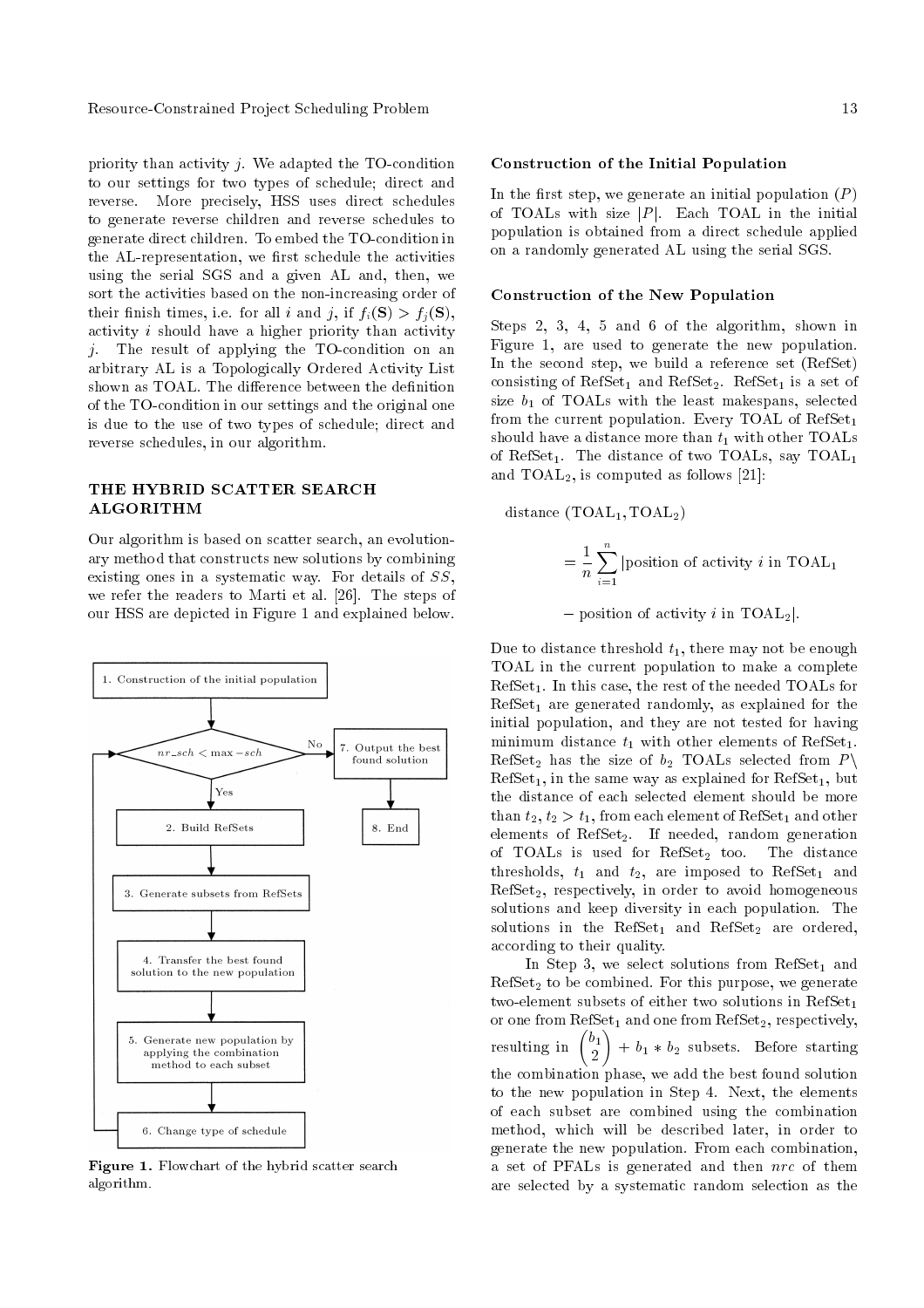priority than activity  $j$ . We adapted the TO-condition to our settings for two types of schedule; direct and reverse. More precisely, HSS uses direct schedules to generate reverse children and reverse schedules to generate direct children. To embed the TO-condition in the AL-representation, we first schedule the activities using the serial SGS and a given AL and, then, we sort the activities based on the non-increasing order of their finish times, i.e. for all i and j, if  $f_i(\mathbf{S}) > f_i(\mathbf{S}),$ activity  $i$  should have a higher priority than activity  $j$ . The result of applying the TO-condition on an arbitrary AL is a Topologically Ordered Activity List shown as TOAL. The difference between the definition of the TO-condition in our settings and the original one is due to the use of two types of schedule; direct and reverse schedules, in our algorithm.

# THE HYBRID SCATTER SEARCH ALGORITHM

Our algorithm is based on scatter search, an evolutionary method that constructs new solutions by combining existing ones in a systematic way. For details of SS, we refer the readers to Marti et al. [26]. The steps of our HSS are depicted in Figure 1 and explained below.



Figure 1. Flowchart of the hybrid scatter search algorithm.

#### Construction of the Initial Population

In the first step, we generate an initial population  $(P)$ of TOALs with size  $|P|$ . Each TOAL in the initial population is obtained from a direct schedule applied on a randomly generated AL using the serial SGS.

#### Construction of the New Population

Steps 2, 3, 4, 5 and 6 of the algorithm, shown in Figure 1, are used to generate the new population. In the second step, we build a reference set (RefSet) consisting of  $RefSet_1$  and  $RefSet_2$ .  $RefSet_1$  is a set of size  $b_1$  of TOALs with the least makespans, selected from the current population. Every TOAL of  $RefSet_1$ should have a distance more than  $t_1$  with other TOALs of RefSet<sub>1</sub>. The distance of two TOALs, say TOAL<sub>1</sub> and  $TOAL<sub>2</sub>$ , is computed as follows [21]:

distance  $(TOAL_1, TOAL_2)$ 

$$
= \frac{1}{n} \sum_{i=1}^{n} |position of activity i in TOAL1
$$

- position of activity i in TOAL<sub>2</sub>.

Due to distance threshold  $t_1$ , there may not be enough TOAL in the current population to make a complete  $RefSet<sub>1</sub>$ . In this case, the rest of the needed TOALs for  $RefSet<sub>1</sub>$  are generated randomly, as explained for the initial population, and they are not tested for having minimum distance  $t_1$  with other elements of RefSet<sub>1</sub>. RefSet<sub>2</sub> has the size of  $b_2$  TOALs selected from P  $RefSet<sub>1</sub>$ , in the same way as explained for  $RefSet<sub>1</sub>$ , but the distance of each selected element should be more than  $t_2, t_2 > t_1$ , from each element of RefSet<sub>1</sub> and other elements of RefSet<sub>2</sub>. If needed, random generation of TOALs is used for  $RefSet_2$  too. The distance thresholds,  $t_1$  and  $t_2$ , are imposed to RefSet<sub>1</sub> and  $RefSet<sub>2</sub>$ , respectively, in order to avoid homogeneous solutions and keep diversity in each population. The solutions in the RefSet<sub>1</sub> and RefSet<sub>2</sub> are ordered, according to their quality.

In Step 3, we select solutions from  $RefSet_1$  and  $RefSet_2$  to be combined. For this purpose, we generate two-element subsets of either two solutions in  $RefSet<sub>1</sub>$ or one from  $RefSet<sub>1</sub>$  and one from  $RefSet<sub>2</sub>$ , respectively, resulting in  $\binom{b_1}{2}$ 2  $\overline{ }$  $+ b_1 * b_2$  subsets. Before starting the combination phase, we add the best found solution to the new population in Step 4. Next, the elements of each subset are combined using the combination method, which will be described later, in order to generate the new population. From each combination, a set of PFALs is generated and then nrc of them are selected by a systematic random selection as the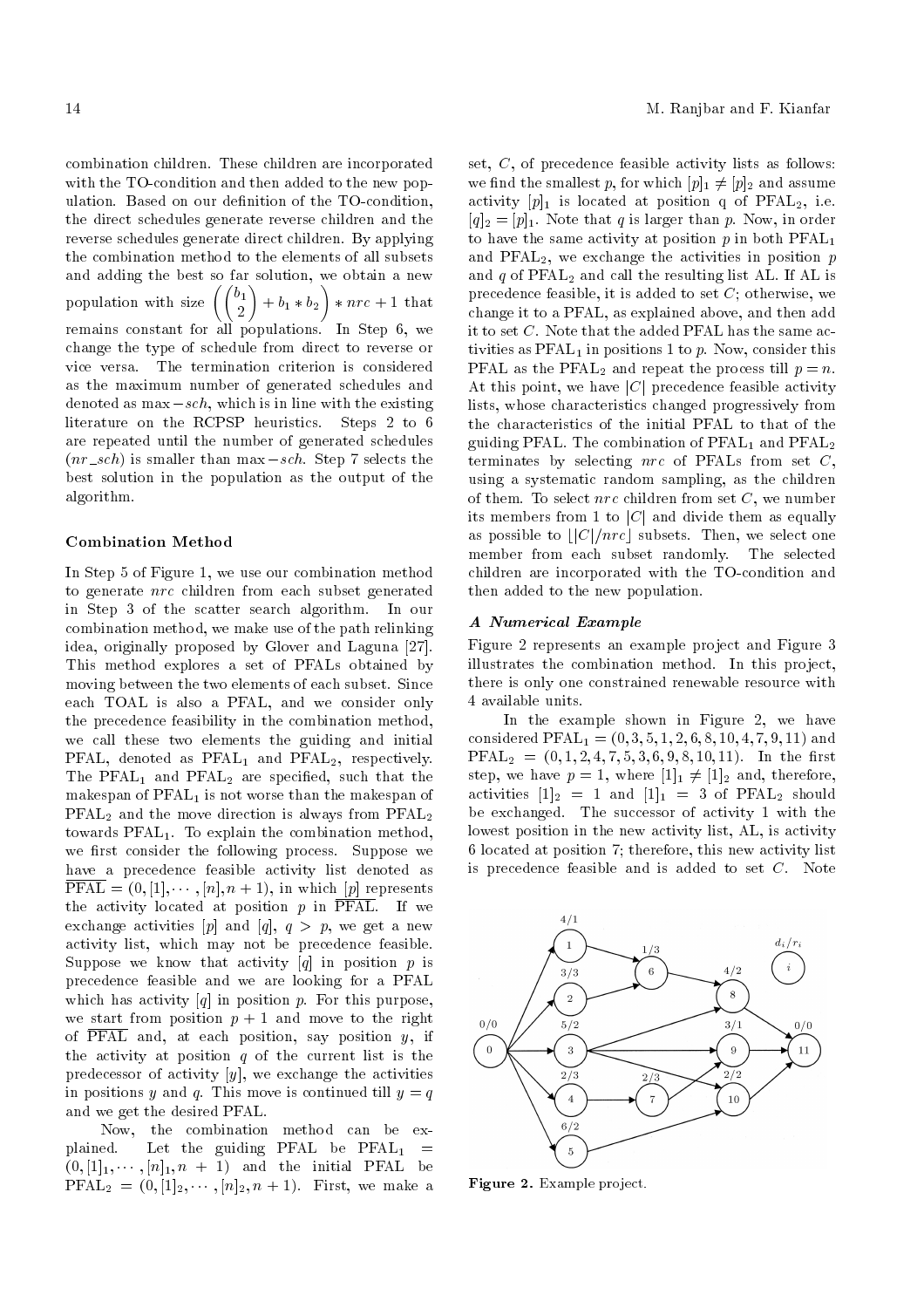combination children. These children are incorporated with the TO-condition and then added to the new population. Based on our definition of the TO-condition. the direct schedules generate reverse children and the reverse schedules generate direct children. By applying the combination method to the elements of all subsets and adding the best so far solution, we obtain a new population with size  $\Big(\Big(\frac{b_1}{2}\Big)$ <sup>1</sup>  $+ b_1 * b_2$ <sup>1</sup>  $*$   $\operatorname{nrc}$  + 1 that remains constant for all populations. In Step 6, we change the type of schedule from direct to reverse or vice versa. The termination criterion is considered as the maximum number of generated schedules and denoted as  $\max$  -sch, which is in line with the existing literature on the RCPSP heuristics. Steps 2 to 6 are repeated until the number of generated schedules  $(nr\_sch)$  is smaller than max  $-sch$ . Step 7 selects the best solution in the population as the output of the algorithm.

#### Combination Method

In Step 5 of Figure 1, we use our combination method to generate nrc children from each subset generated in Step 3 of the scatter search algorithm. In our combination method, we make use of the path relinking idea, originally proposed by Glover and Laguna [27]. This method explores a set of PFALs obtained by moving between the two elements of each subset. Since each TOAL is also a PFAL, and we consider only the precedence feasibility in the combination method, we call these two elements the guiding and initial PFAL, denoted as  $PFAL<sub>1</sub>$  and  $PFAL<sub>2</sub>$ , respectively. The  $\text{PFAL}_1$  and  $\text{PFAL}_2$  are specified, such that the makespan of  $\text{PFAL}_1$  is not worse than the makespan of PFAL<sup>2</sup> and the move direction is always from PFAL<sup>2</sup> towards PFAL1. To explain the combination method, we first consider the following process. Suppose we have a precedence feasible activity list denoted as  $\text{PFAL} = (0, [1], \cdots, [n], n+1)$ , in which  $[p]$  represents the activity located at position  $p$  in  $\overline{\text{PFAL}}$ . If we exchange activities  $[p]$  and  $[q]$ ,  $q > p$ , we get a new activity list, which may not be precedence feasible. Suppose we know that activity  $[q]$  in position p is precedence feasible and we are looking for a PFAL which has activity  $[q]$  in position p. For this purpose, we start from position  $p + 1$  and move to the right of PFAL and, at each position, say position  $y$ , if the activity at position  $q$  of the current list is the predecessor of activity  $[y]$ , we exchange the activities in positions y and q. This move is continued till  $y = q$ and we get the desired PFAL.

Now, the combination method can be explained. Let the guiding PFAL be  $\text{PFAL}_1$  =  $(0, [1]_1, \cdots, [n]_1, n + 1)$  and the initial PFAL be PFAL<sub>2</sub> =  $(0, 1]_2, \cdots, n]_2, n + 1$ . First, we make a set, C, of precedence feasible activity lists as follows: we find the smallest p, for which  $[p]_1 \neq [p]_2$  and assume activity  $[p]_1$  is located at position q of PFAL<sub>2</sub>, i.e.  $[q]_2 = [p]_1$ . Note that q is larger than p. Now, in order to have the same activity at position  $p$  in both  $\text{PFL}_1$ and PFAL<sub>2</sub>, we exchange the activities in position  $p$ and  $q$  of  $\mathrm{PFAL}_2$  and call the resulting list AL. If AL is precedence feasible, it is added to set  $C$ ; otherwise, we change it to a PFAL, as explained above, and then add it to set  $C$ . Note that the added PFAL has the same activities as  $\text{PFAL}_1$  in positions 1 to p. Now, consider this PFAL as the PFAL<sub>2</sub> and repeat the process till  $p = n$ . At this point, we have  $|C|$  precedence feasible activity lists, whose characteristics changed progressively from the characteristics of the initial PFAL to that of the guiding PFAL. The combination of  $PFAL<sub>1</sub>$  and  $PFAL<sub>2</sub>$ terminates by selecting  $\eta r c$  of PFALs from set C, using a systematic random sampling, as the children of them. To select  $\eta r c$  children from set  $C$ , we number its members from 1 to  $|C|$  and divide them as equally as possible to  $\lfloor |C|/nrc \rfloor$  subsets. Then, we select one<br>member from each subset randomly. The selected member from each subset randomly. children are incorporated with the TO-condition and then added to the new population.

## A Numerical Example

Figure 2 represents an example project and Figure 3 illustrates the combination method. In this project, there is only one constrained renewable resource with 4 available units.

In the example shown in Figure 2, we have considered  $\text{PFAL}_1 = (0, 3, 5, 1, 2, 6, 8, 10, 4, 7, 9, 11)$  and  $\text{PFAL}_2 = (0, 1, 2, 4, 7, 5, 3, 6, 9, 8, 10, 11)$ . In the first step, we have  $p = 1$ , where  $[1]_1 \neq [1]_2$  and, therefore, activities  $[1]_2 = 1$  and  $[1]_1 = 3$  of PFAL<sub>2</sub> should be exchanged. The successor of activity 1 with the lowest position in the new activity list, AL, is activity 6 located at position 7; therefore, this new activity list is precedence feasible and is added to set  $C$ . Note



Figure 2. Example project.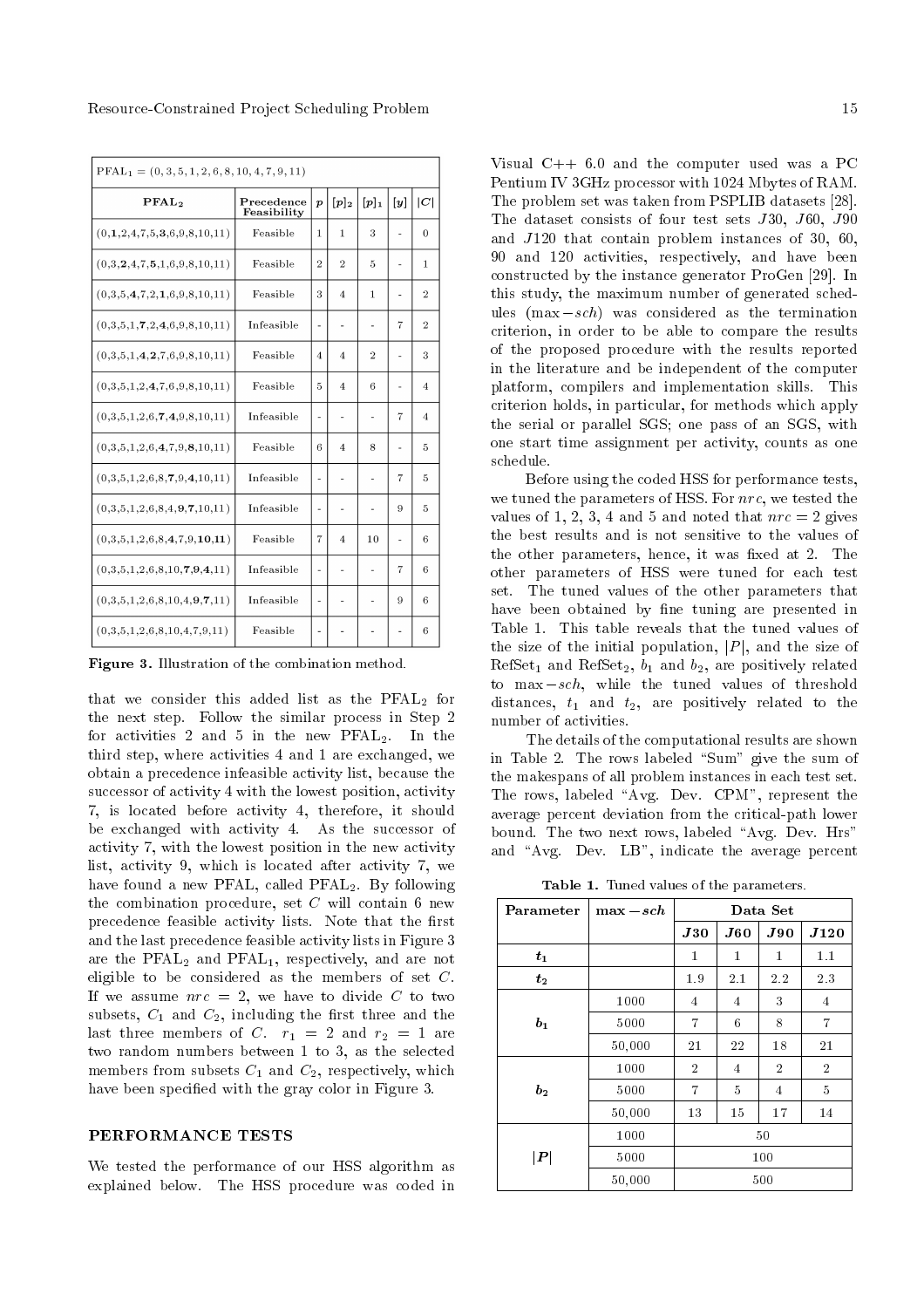| $\text{PFL}_1 = (0, 3, 5, 1, 2, 6, 8, 10, 4, 7, 9, 11)$ |                           |                          |                |                |                |                |
|---------------------------------------------------------|---------------------------|--------------------------|----------------|----------------|----------------|----------------|
| PFAL <sub>2</sub>                                       | Precedence<br>Feasibility |                          | $[p]_2$        | $[p]_1$        | [y]            | C              |
| (0,1,2,4,7,5,3,6,9,8,10,11)                             | Feasible                  | 1                        | $\mathbf{1}$   | 3              |                | $\theta$       |
| (0,3,2,4,7,5,1,6,9,8,10,11)                             | Feasible                  | $\overline{2}$           | $\overline{2}$ | 5              | ÷              | 1              |
| (0,3,5,4,7,2,1,6,9,8,10,11)                             | Feasible                  | 3                        | $\overline{4}$ | 1              |                | $\overline{2}$ |
| (0,3,5,1,7,2,4,6,9,8,10,11)                             | Infeasible                | $\overline{\phantom{m}}$ | ۰              | ÷,             | 7              | $\overline{2}$ |
| (0,3,5,1,4,2,7,6,9,8,10,11)                             | Feasible                  | 4                        | $\overline{4}$ | $\overline{2}$ | ÷              | 3              |
| (0,3,5,1,2,4,7,6,9,8,10,11)                             | Feasible                  | 5                        | $\overline{4}$ | 6              |                | 4              |
| (0,3,5,1,2,6,7,4,9,8,10,11)                             | Infeasible                | ÷,                       | $\overline{a}$ | ä,             | $\overline{7}$ | 4              |
| (0,3,5,1,2,6,4,7,9,8,10,11)                             | Feasible                  | 6                        | 4              | 8              | ۰              | 5              |
| (0,3,5,1,2,6,8,7,9,4,10,11)                             | Infeasible                | ÷                        | ÷,             |                | 7              | 5              |
| (0,3,5,1,2,6,8,4,9,7,10,11)                             | Infeasible                | ÷,                       | ÷,             | ÷,             | 9              | 5              |
| (0,3,5,1,2,6,8,4,7,9,10,11)                             | Feasible                  | 7                        | $\overline{4}$ | 10             | ÷              | 6              |
| (0,3,5,1,2,6,8,10,7,9,4,11)                             | Infeasible                | ÷,                       | $\overline{a}$ |                | 7              | 6              |
| (0,3,5,1,2,6,8,10,4,9,7,11)                             | Infeasible                | ÷                        |                | L,             | 9              | 6              |
| (0,3,5,1,2,6,8,10,4,7,9,11)                             | Feasible                  | ÷                        |                |                |                | 6              |

Figure 3. Illustration of the combination method.

that we consider this added list as the  $PFAL<sub>2</sub>$  for the next step. Follow the similar process in Step 2 for activities 2 and 5 in the new  $PFAL<sub>2</sub>$ . In the third step, where activities 4 and 1 are exchanged, we obtain a precedence infeasible activity list, because the successor of activity 4 with the lowest position, activity 7, is located before activity 4, therefore, it should be exchanged with activity 4. As the successor of activity 7, with the lowest position in the new activity list, activity 9, which is located after activity 7, we have found a new PFAL, called PFAL<sub>2</sub>. By following the combination procedure, set  $C$  will contain 6 new precedence feasible activity lists. Note that the first and the last precedence feasible activity lists in Figure 3 are the PFAL<sub>2</sub> and PFAL<sub>1</sub>, respectively, and are not eligible to be considered as the members of set  $C$ . If we assume  $nrc = 2$ , we have to divide C to two subsets,  $C_1$  and  $C_2$ , including the first three and the last three members of C.  $r_1 = 2$  and  $r_2 = 1$  are two random numbers between 1 to 3, as the selected members from subsets  $C_1$  and  $C_2$ , respectively, which have been specified with the gray color in Figure 3.

## PERFORMANCE TESTS

We tested the performance of our HSS algorithm as explained below. The HSS procedure was coded in Visual C++ 6.0 and the computer used was a PC Pentium IV 3GHz processor with 1024 Mbytes of RAM. The problem set was taken from PSPLIB datasets [28]. The dataset consists of four test sets J30, J60, J90 and J120 that contain problem instances of 30, 60, 90 and 120 activities, respectively, and have been constructed by the instance generator ProGen [29]. In this study, the maximum number of generated schedules  $(max-sch)$  was considered as the termination criterion, in order to be able to compare the results of the proposed procedure with the results reported in the literature and be independent of the computer platform, compilers and implementation skills. This criterion holds, in particular, for methods which apply the serial or parallel SGS; one pass of an SGS, with one start time assignment per activity, counts as one schedule.

Before using the coded HSS for performance tests, we tuned the parameters of HSS. For nrc, we tested the values of 1, 2, 3, 4 and 5 and noted that  $nrc = 2$  gives the best results and is not sensitive to the values of the other parameters, hence, it was fixed at 2. The other parameters of HSS were tuned for each test set. The tuned values of the other parameters that have been obtained by fine tuning are presented in Table 1. This table reveals that the tuned values of the size of the initial population,  $|P|$ , and the size of  $RefSet<sub>1</sub>$  and  $RefSet<sub>2</sub>, b<sub>1</sub>$  and  $b<sub>2</sub>$ , are positively related to max  $-sch$ , while the tuned values of threshold distances,  $t_1$  and  $t_2$ , are positively related to the number of activities.

The details of the computational results are shown in Table 2. The rows labeled "Sum" give the sum of the makespans of all problem instances in each test set. The rows, labeled "Avg. Dev. CPM", represent the average percent deviation from the critical-path lower bound. The two next rows, labeled "Avg. Dev. Hrs" and "Avg. Dev.  $LB$ ", indicate the average percent

Table 1. Tuned values of the parameters.

| Parameter      | $\max -sch$ | Data Set       |                    |                |                |  |
|----------------|-------------|----------------|--------------------|----------------|----------------|--|
|                |             | J30            | $\boldsymbol{J60}$ | J90            | J120           |  |
| $t_{1}$        |             | 1              | $\mathbf{1}$       | $\bf{1}$       | 1.1            |  |
| $t_{2}$        |             | 1.9            | 2.1                | 2.2            | 2.3            |  |
|                | 1000        | 4              | 4                  | 3              | 4              |  |
| $b_{1}$        | 5000        | $\overline{7}$ | 6                  | 8              | $\overline{7}$ |  |
|                | 50,000      | 21             | 22                 | 18             | 21             |  |
|                | 1000        | $\overline{2}$ | $\overline{4}$     | $\overline{2}$ | $\overline{2}$ |  |
| b <sub>2</sub> | 5000        | 7              | 5                  | 4              | 5              |  |
|                | 50,000      | 13             | 15                 | 17             | 14             |  |
|                | 1000<br>50  |                |                    |                |                |  |
| $ \bm{P} $     | 5000        | 100            |                    |                |                |  |
|                | 50,000      |                |                    | 500            |                |  |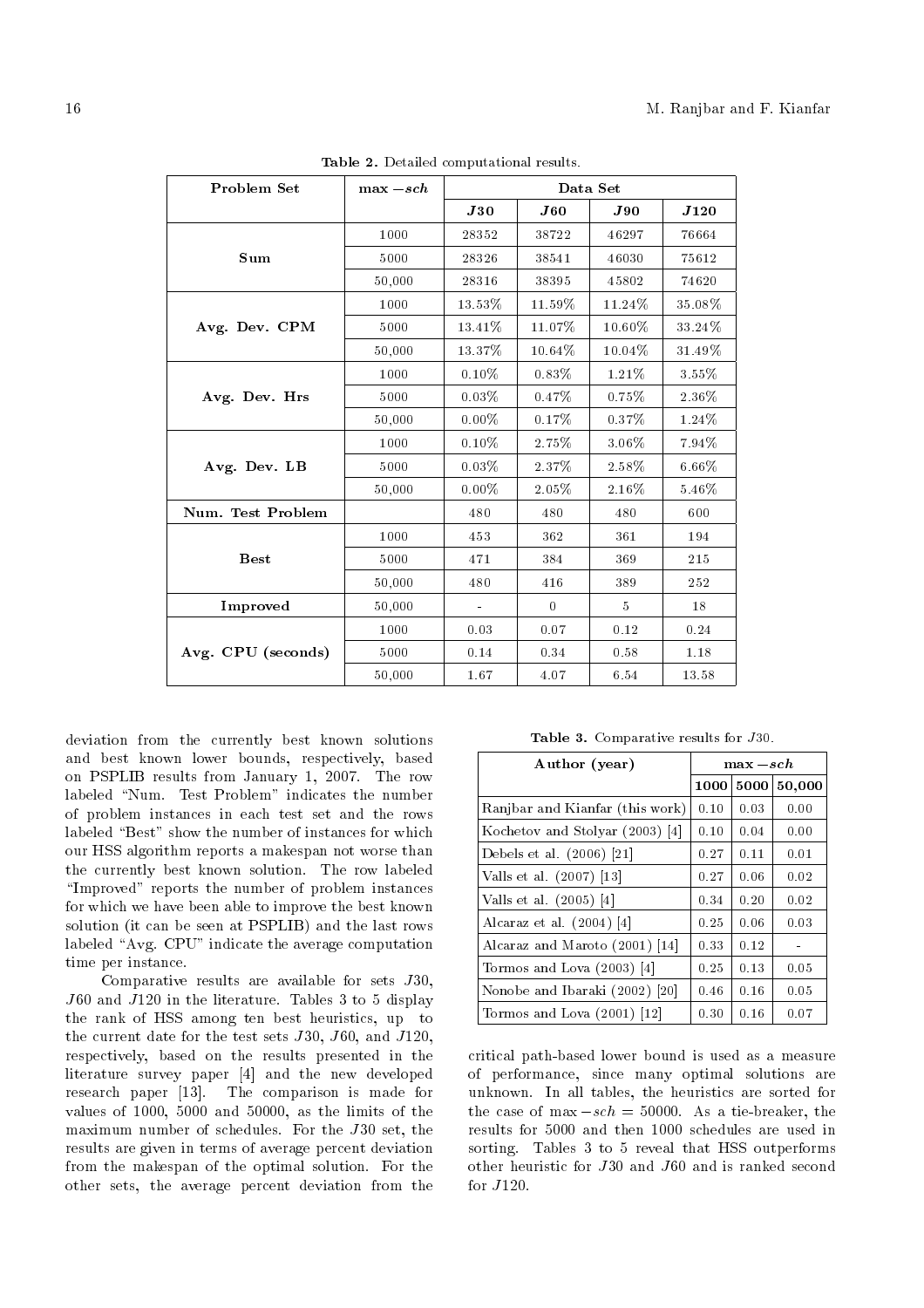| Problem Set        | $\max -sch$ | Data Set       |                    |        |           |  |
|--------------------|-------------|----------------|--------------------|--------|-----------|--|
|                    |             | J30            | $\boldsymbol{J60}$ | J90    | J120      |  |
|                    | 1000        | 28352          | 38722              | 46297  | 76664     |  |
| Sum                | 5000        | 28326          | 38541              | 46030  | 75612     |  |
|                    | 50,000      | 28316          | 38395              | 45802  | 74620     |  |
|                    | 1000        | $13.53\%$      | $11.59\%$          | 11.24% | 35.08%    |  |
| Avg. Dev. CPM      | 5000        | 13.41%         | 11.07%             | 10.60% | 33.24%    |  |
|                    | 50,000      | 13.37%         | 10.64%             | 10.04% | $31.49\%$ |  |
|                    | 1000        | $0.10\%$       | 0.83%              | 1.21%  | $3.55\%$  |  |
| Avg. Dev. Hrs      | 5000        | $0.03\%$       | 0.47%              | 0.75%  | $2.36\%$  |  |
|                    | 50,000      | $0.00\%$       | 0.17%              | 0.37%  | 1.24\%    |  |
|                    | 1000        | $0.10\%$       | 2.75%              | 3.06%  | 7.94%     |  |
| Avg. Dev. LB       | 5000        | 0.03%          | 2.37%              | 2.58%  | $6.66\%$  |  |
|                    | 50,000      | $0.00\%$       | 2.05%              | 2.16%  | 5.46%     |  |
| Num. Test Problem  |             | 480            | 480                | 480    | 600       |  |
|                    | 1000        | 453            | 362                | 361    | 194       |  |
| <b>Best</b>        | 5000        | 471            | 384                | 369    | 215       |  |
|                    | 50,000      | 480            | 416                | 389    | 252       |  |
| Improved           | 50,000      | $\blacksquare$ | $\theta$           | 5      | 18        |  |
|                    | 1000        | 0.03           | 0.07               | 0.12   | 0.24      |  |
| Avg. CPU (seconds) | 5000        | 0.14           | 0.34               | 0.58   | 1.18      |  |
|                    | 50,000      | 1.67           | 4.07               | 6.54   | 13.58     |  |

Table 2. Detailed computational results.

deviation from the currently best known solutions and best known lower bounds, respectively, based on PSPLIB results from January 1, 2007. The row labeled "Num. Test Problem" indicates the number of problem instances in each test set and the rows labeled "Best" show the number of instances for which our HSS algorithm reports a makespan not worse than the currently best known solution. The row labeled "Improved" reports the number of problem instances for which we have been able to improve the best known solution (it can be seen at PSPLIB) and the last rows labeled "Avg. CPU" indicate the average computation time per instance.

Comparative results are available for sets J30, J60 and J120 in the literature. Tables 3 to 5 display the rank of HSS among ten best heuristics, up to the current date for the test sets J30, J60, and J120, respectively, based on the results presented in the literature survey paper [4] and the new developed research paper [13]. The comparison is made for values of 1000, 5000 and 50000, as the limits of the maximum number of schedules. For the J30 set, the results are given in terms of average percent deviation from the makespan of the optimal solution. For the other sets, the average percent deviation from the

Table 3. Comparative results for J30.

| Author (year)                   | $\max -sch$ |      |        |
|---------------------------------|-------------|------|--------|
|                                 | 1000        | 5000 | 50,000 |
| Ranjbar and Kianfar (this work) | 0.10        | 0.03 | 0.00   |
| Kochetov and Stolyar (2003) [4] | 0.10        | 0.04 | 0.00   |
| Debels et al. $(2006)$ [21]     | 0.27        | 0.11 | 0.01   |
| Valls et al. (2007) [13]        | 0.27        | 0.06 | 0.02   |
| Valls et al. $(2005)$ [4]       | 0.34        | 0.20 | 0.02   |
| Alcaraz et al. $(2004)$ [4]     | 0.25        | 0.06 | 0.03   |
| Alcaraz and Maroto (2001) [14]  | 0.33        | 0.12 |        |
| Tormos and Lova $(2003)$ [4]    | 0.25        | 0.13 | 0.05   |
| Nonobe and Ibaraki (2002) [20]  | 0.46        | 0.16 | 0.05   |
| Tormos and Lova $(2001)$ [12]   | 0.30        | 0.16 | 0.07   |

critical path-based lower bound is used as a measure of performance, since many optimal solutions are unknown. In all tables, the heuristics are sorted for the case of max  $-sch = 50000$ . As a tie-breaker, the results for 5000 and then 1000 schedules are used in sorting. Tables 3 to 5 reveal that HSS outperforms other heuristic for J30 and J60 and is ranked second for J120.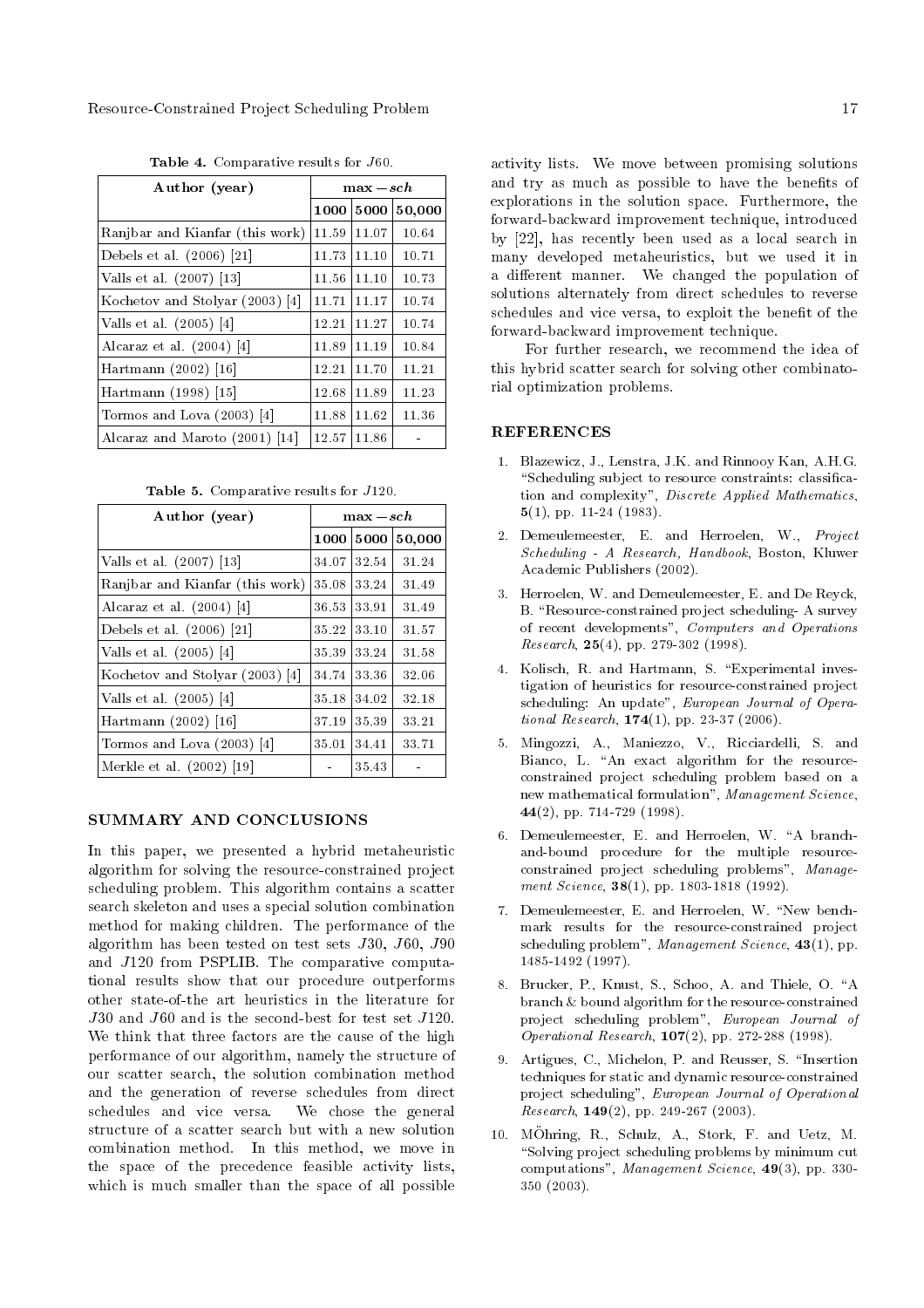| Author (year)                                  | $\max -sch$ |       |        |
|------------------------------------------------|-------------|-------|--------|
|                                                | 1000        | 5000  | 50,000 |
| Ranjbar and Kianfar (this work)                | 11.59       | 11.07 | 10.64  |
| Debels et al. (2006) [21]                      | 11.73       | 11.10 | 10.71  |
| Valls et al. (2007) [13]                       | 11.56       | 11.10 | 10.73  |
| Kochetov and Stolyar (2003)<br>$\vert 4 \vert$ | 11.71       | 11.17 | 10.74  |
| Valls et al. $(2005)$ [4]                      | 12.21       | 11.27 | 10.74  |
| Alcaraz et al. $(2004)$ [4]                    | 11.89       | 11.19 | 10.84  |
| Hartmann (2002) [16]                           | 12.21       | 11.70 | 11.21  |
| Hartmann (1998) [15]                           | 12.68       | 11.89 | 11.23  |
| Tormos and Lova $(2003)$ [4]                   | 11.88       | 11.62 | 11.36  |
| Alcaraz and Maroto (2001) [14]                 | 12.57       | 11.86 |        |

Table 4. Comparative results for J60.

Table 5. Comparative results for J120.

| Author (year)                   | $\max -sch$ |       |        |
|---------------------------------|-------------|-------|--------|
|                                 | 1000        | 5000  | 50,000 |
| Valls et al. (2007) [13]        | 34.07       | 32.54 | 31.24  |
| Ranjbar and Kianfar (this work) | 35.08       | 33.24 | 31.49  |
| Alcaraz et al. $(2004)$ [4]     | 36.53       | 33.91 | 31.49  |
| Debels et al. $(2006)$ [21]     | 35.22       | 33.10 | 31.57  |
| Valls et al. $(2005)$ [4]       | 35.39       | 33.24 | 31.58  |
| Kochetov and Stolyar (2003) [4] | 34.74       | 33.36 | 32.06  |
| Valls et al. $(2005)$ [4]       | 35.18       | 34.02 | 32.18  |
| Hartmann (2002) [16]            | 37.19       | 35.39 | 33.21  |
| Tormos and Lova $(2003)$ [4]    | 35.01       | 34.41 | 33.71  |
| Merkle et al. (2002) [19]       |             | 35.43 |        |

#### SUMMARY AND CONCLUSIONS

In this paper, we presented a hybrid metaheuristic algorithm for solving the resource-constrained project scheduling problem. This algorithm contains a scatter search skeleton and uses a special solution combination method for making children. The performance of the algorithm has been tested on test sets J30, J60, J90 and J120 from PSPLIB. The comparative computational results show that our procedure outperforms other state-of-the art heuristics in the literature for J30 and J60 and is the second-best for test set J120. We think that three factors are the cause of the high performance of our algorithm, namely the structure of our scatter search, the solution combination method and the generation of reverse schedules from direct schedules and vice versa. We chose the general structure of a scatter search but with a new solution combination method. In this method, we move in the space of the precedence feasible activity lists, which is much smaller than the space of all possible activity lists. We move between promising solutions and try as much as possible to have the benefits of explorations in the solution space. Furthermore, the forward-backward improvement technique, introduced by [22], has recently been used as a local search in many developed metaheuristics, but we used it in a different manner. We changed the population of solutions alternately from direct schedules to reverse schedules and vice versa, to exploit the benefit of the forward-backward improvement technique.

For further research, we recommend the idea of this hybrid scatter search for solving other combinatorial optimization problems.

# REFERENCES

- 1. Blazewicz, J., Lenstra, J.K. and Rinnooy Kan, A.H.G. "Scheduling subject to resource constraints: classification and complexity", Discrete Applied Mathematics, 5(1), pp. 11-24 (1983).
- 2. Demeulemeester, E. and Herroelen, W., Project Scheduling - A Research, Handbook, Boston, Kluwer Academic Publishers (2002).
- 3. Herroelen, W. and Demeulemeester, E. and De Reyck, B. "Resource-constrained project scheduling-A survey of recent developments", Computers and Operations *Research*, **25**(4), pp. 279-302 (1998).
- 4. Kolisch, R. and Hartmann, S. "Experimental investigation of heuristics for resource-constrained project scheduling: An update", European Journal of Operational Research, 174(1), pp. 23-37 (2006).
- 5. Mingozzi, A., Maniezzo, V., Ricciardelli, S. and Bianco, L. "An exact algorithm for the resourceconstrained project scheduling problem based on a new mathematical formulation", Management Science, 44(2), pp. 714-729 (1998).
- 6. Demeulemeester, E. and Herroelen, W. "A branchand-bound procedure for the multiple resourceconstrained project scheduling problems", Management Science, **38**(1), pp. 1803-1818 (1992).
- 7. Demeulemeester, E. and Herroelen, W. "New benchmark results for the resource-constrained project scheduling problem", Management Science,  $43(1)$ , pp. 1485-1492 (1997).
- 8. Brucker, P., Knust, S., Schoo, A. and Thiele, O. "A branch & bound algorithm for the resource-constrained project scheduling problem", European Journal of Operational Research, 107(2), pp. 272-288 (1998).
- 9. Artigues, C., Michelon, P. and Reusser, S. "Insertion techniques for static and dynamic resource-constrained project scheduling", European Journal of Operational Research,  $149(2)$ , pp. 249-267 (2003).
- 10. MOhring, R., Schulz, A., Stork, F. and Uetz, M. "Solving project scheduling problems by minimum cut computations", Management Science, 49(3), pp. 330- 350 (2003).